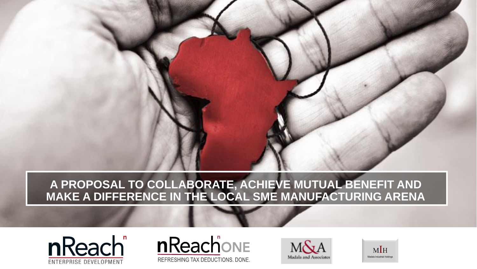### **A PROPOSAL TO COLLABORATE, ACHIEVE MUTUAL BENEFIT AND MAKE A DIFFERENCE IN THE LOCAL SME MANUFACTURING ARENA**







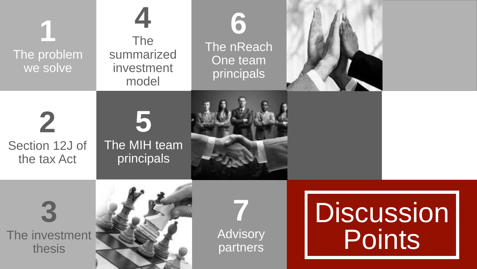| The problem<br>we solve                      | The<br>summarized<br>investment<br>model | TO'<br>The nReach<br>One team<br>principals |                   |        |
|----------------------------------------------|------------------------------------------|---------------------------------------------|-------------------|--------|
| $\mathbb Z$<br>Section 12J of<br>the tax Act | The MIH team<br>principals               |                                             |                   |        |
| The investment<br>thesis                     |                                          | Advisory<br>partners                        | <b>Discussion</b> | Points |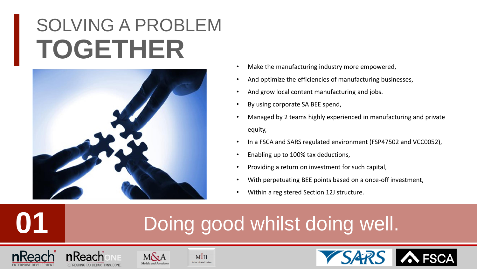### SOLVING A PROBLEM **TOGETHER**



- Make the manufacturing industry more empowered,
- And optimize the efficiencies of manufacturing businesses,
- And grow local content manufacturing and jobs.
- By using corporate SA BEE spend,
- Managed by 2 teams highly experienced in manufacturing and private equity,
- In a FSCA and SARS regulated environment (FSP47502 and VCC0052),
- Enabling up to 100% tax deductions,
- Providing a return on investment for such capital,
- With perpetuating BEE points based on a once-off investment,
- Within a registered Section 12J structure.

### Doing good whilst doing well.







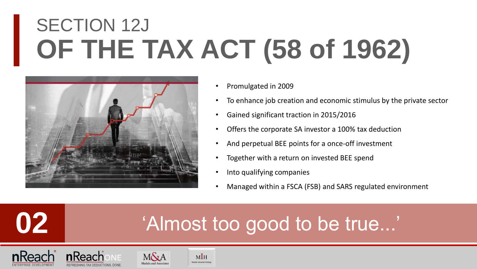# SECTION 12J **OF THE TAX ACT (58 of 1962)**



- Promulgated in 2009
- To enhance job creation and economic stimulus by the private sector
- Gained significant traction in 2015/2016
- Offers the corporate SA investor a 100% tax deduction
- And perpetual BEE points for a once-off investment
- Together with a return on invested BEE spend
- Into qualifying companies
- Managed within a FSCA (FSB) and SARS regulated environment

### 'Almost too good to be true...'





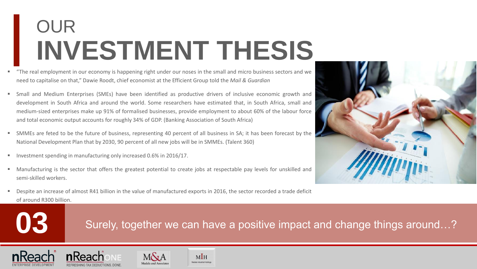### OUR **INVESTMENT THESIS**

- "The real employment in our economy is happening right under our noses in the small and micro business sectors and we need to capitalise on that," Dawie Roodt, chief economist at the Efficient Group told the *Mail & Guardian*
- Small and Medium Enterprises (SMEs) have been identified as productive drivers of inclusive economic growth and development in South Africa and around the world. Some researchers have estimated that, in South Africa, small and medium-sized enterprises make up 91% of formalised businesses, provide employment to about 60% of the labour force and total economic output accounts for roughly 34% of GDP. (Banking Association of South Africa)
- SMMEs are feted to be the future of business, representing 40 percent of all business in SA; it has been forecast by the National Development Plan that by 2030, 90 percent of all new jobs will be in SMMEs. (Talent 360)
- Investment spending in manufacturing only increased 0.6% in 2016/17.
- Manufacturing is the sector that offers the greatest potential to create jobs at respectable pay levels for unskilled and semi-skilled workers.
- Despite an increase of almost R41 billion in the value of manufactured exports in 2016, the sector recorded a trade deficit of around R300 billion.



### **03** Surely, together we can have a positive impact and change things around...?





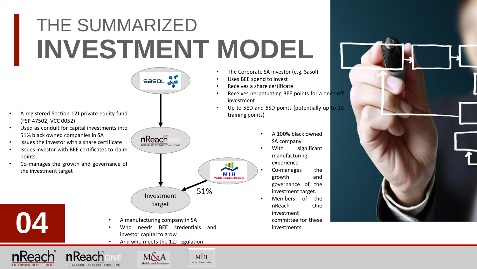### THE SUMMARIZED **INVESTMENT MODEL**



nReach

- A registered Section 12J private equity fund<br>
and training points) (FSP 47502, VCC 0052)
- Used as conduit for capital investments into 51% black owned companies in SA
- Issues the investor with a share certificate
- Issues investor with BEE certificates to claim points.
- Co-manages the growth and governance of the investment target





- Uses BEE spend to invest
- Receives a share certificate
- Receives perpetuating BEE points for a once-off investment.
- Up to 5ED and 5SD points (potentially up to 20
	- A 100% black owned SA company
	- With significant manufacturing experience
	- Co-manages the growth and governance of the investment target.
	- Members of the nReach One investment committee for these investments



- A manufacturing company in SA
- Who needs BEE credentials and investor capital to grow

Investment target

51%

 $M<sub>H</sub>$ **Madala Industrial Holdings**  MIH

• And who meets the 12J regulation





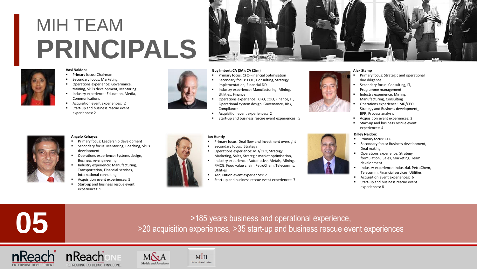### MIH TEAM **PRINCIPALS**

### **Vasi Naidoo:**

- Primary focus: Chairman
- Secondary focus: Marketing
- Operations experience: Governance, training, Skills development, Mentoring
- **·** Industry experience: Education, Media, Communications
- Acquisition event experiences: 2
- Start-up and business rescue event experiences: 2



### **Guy Imbert: CA (SA); CA (Zim)**

- Primary focus: CFO-Financial optimisation
- Secondary focus: COO, Consulting, Strategy implementation, Financial DD
- Industry experience: Manufacturing, Mining, Utilities, Finance
- Operations experience: CFO, COO, Finance, IT, Operational system design, Governance, Risk, Compliance
- Acquisition event experiences: 2
- Start-up and business rescue event experiences: 5

### **Ian Huntly**

- Primary focus: Deal flow and Investment oversight
- Secondary focus: Strategy
- Operations experience: MD/CEO; Strategy, Marketing, Sales, Strategic market optimisation,
- Industry experience: Automotive, Metals, Mining, FMCG, Food value chain, PetroChem, Telecomms, Utilities
- Acquisition event experiences: 2
- 



### **Alex Stamp**

- Primary focus: Strategic and operational due diligence
- Secondary focus: Consulting, IT, Programme management
- Industry experience: Mining, Manufacturing, Consulting
- Operations experience: MD/CEO, Strategy and Business development,, BPR, Process analysis
- Acquisition event experiences: 3
- Start-up and business rescue event experiences: 4

### **Dilley Naidoo:**

- Primary focus: CEO
- Secondary focus: Business development, Deal making,
- Operations experience: Strategy formulation, Sales, Marketing, Team development
- Industry experience: Industrial, PetroChem, Telecomm, Financial services, Utilities
- Acquisition event experiences: 6
- Start-up and business rescue event experiences: 8



### **Angelo Kehayas:**

- Primary focus: Leadership development
- Secondary focus: Mentoring, Coaching, Skills development
- Operations experience: Systems design, Business re-engineering,
- Industry experience: Manufacturing, Transportation, Financial services, International consulting
- Acquisition event experiences: 5
- Start-up and business rescue event experiences: 9









>185 years business and operational experience, **05** >20 acquisition experiences, >35 start-up and business rescue event experiences







- 
- -
- Start-up and business rescue event experiences: 7



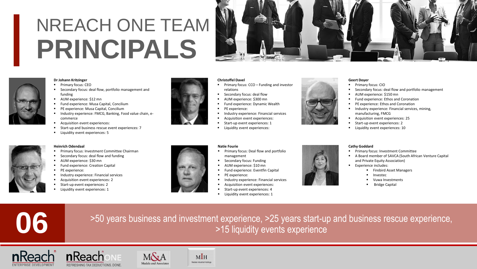### NREACH ONE TEAM **PRINCIPALS**

### **Dr Johann Kritzinger**

- Primary focus: CEO
- Secondary focus: deal flow, portfolio management and funding
- AUM experience: \$12 mn
- Fund experience: Musa Capital, Concilium
- **PE experience: Musa Capital, Concilium**
- Industry experience: FMCG, Banking, Food value chain, ecommerce
- Acquisition event experiences:
- **E** Start-up and business rescue event experiences: 7

Primary focus: Investment Committee Chairman Secondary focus: deal flow and funding

Industry experience: Financial services Acquisition event experiences: 2 Start-up event experiences: 2

Liquidity event experiences: 5

AUM experience: \$30 mn **Fund experience: Creation Capital** 

PE experience:



### **Christoffel Davel**

- Primary focus: CCO Funding and investor relations
- Secondary focus: deal flow
- AUM experience: \$300 mn
- Fund experience: Dynamic Wealth
- PE experience:
- Industry experience: Financial services
- Acquisition event experiences:
- Start-up event experiences: 1
- Liquidity event experiences:

### **Natie Fourie**

- Primary focus: Deal flow and portfolio management
- Secondary focus: Funding
- 
- Fund experience: Eventfin Capital
- PE experience:
- Industry experience: Financial services
- Acquisition event experiences:



- Start-up event experiences: 4
- **·** Liquidity event experiences: 1



### **Geert Doyer**

- Primary focus: CIO
- Secondary focus: deal flow and portfolio management
- AUM experience: \$150 mn
	- Fund experience: Ethos and Coronation
	- PE experience: Ethos and Coronation
	- **■** Industry experience: Financial services, mining, manufacturing, FMCG
	- Acquisition event experiences: 25
	- Start-up event experiences: 2
	- **·** Liquidity event experiences: 10

# **Heinrich Odendaal**

Liquidity event experiences: 1





- 
- 



### ■ Primary focus: Investment Committee ■ A Board member of SAVCA (South African Venture Capital

**Cathy Goddard**

- and Private Equity Association) ■ Experience includes:
	- **Firebird Asset Managers**
	- **Investec**
	- Vuwa Investments
	- **Bridge Capital**

>50 years business and investment experience, >25 years start-up and business rescue experience, **06** >15 liquidity events experience









 $M<sub>H</sub>$ 

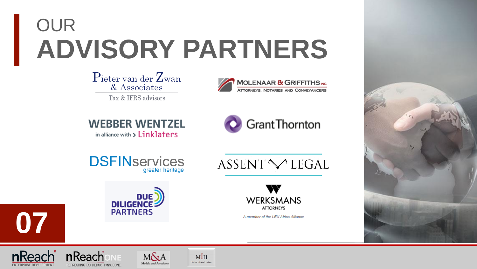# OUR **ADVISORY PARTNERS**

 $P_{\text{ieter van der }Z_{\text{wan}}}$ & Associates Tax & IFRS advisors



**WEBBER WENTZEL** 

in alliance with > Linklaters



ASSENT VLEGAL

**DSFIN**services greater heritage





DILIGENCE

**07**



A member of the LEX Africa Alliance



**n**Reacl